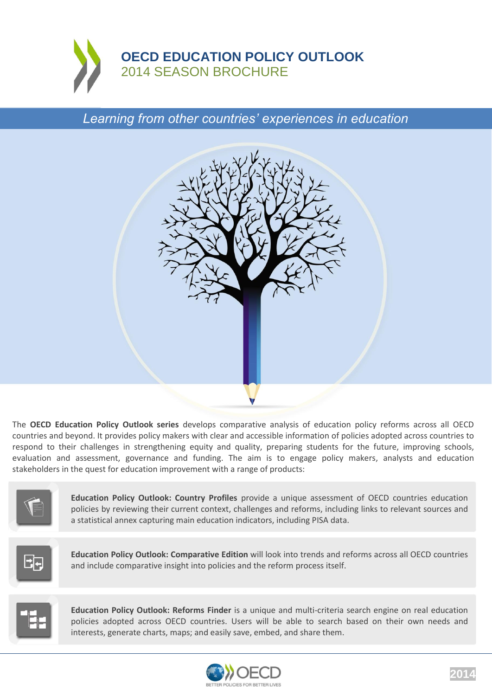

*Learning from other countries' experiences in education*



The **OECD Education Policy Outlook series** develops comparative analysis of education policy reforms across all OECD countries and beyond. It provides policy makers with clear and accessible information of policies adopted across countries to respond to their challenges in strengthening equity and quality, preparing students for the future, improving schools, evaluation and assessment, governance and funding. The aim is to engage policy makers, analysts and education stakeholders in the quest for education improvement with a range of products:



**Education Policy Outlook: Country Profiles** provide a unique assessment of OECD countries education policies by reviewing their current context, challenges and reforms, including links to relevant sources and a statistical annex capturing main education indicators, including PISA data.



**Education Policy Outlook: Comparative Edition** will look into trends and reforms across all OECD countries and include comparative insight into policies and the reform process itself.



**Education Policy Outlook: Reforms Finder** is a unique and multi-criteria search engine on real education policies adopted across OECD countries. Users will be able to search based on their own needs and interests, generate charts, maps; and easily save, embed, and share them.